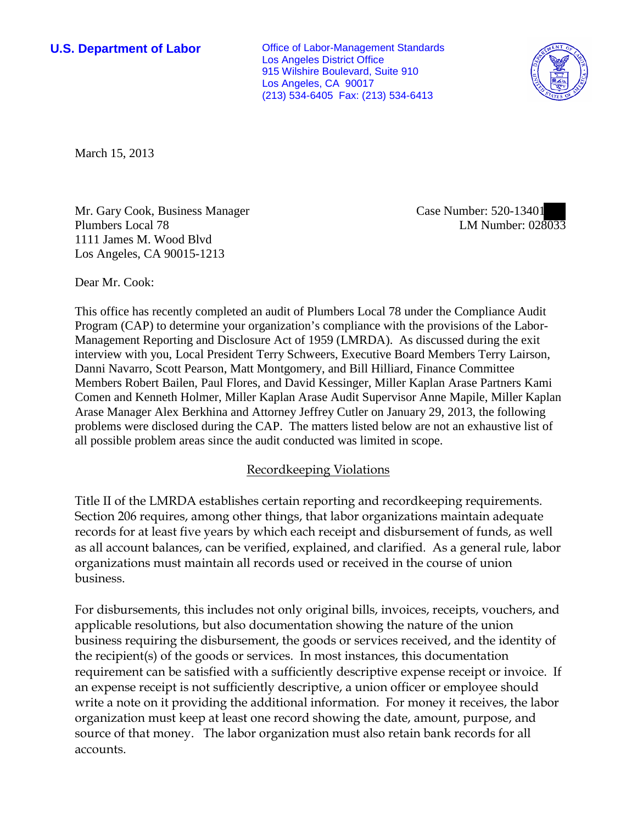**U.S. Department of Labor Office of Labor-Management Standards** Los Angeles District Office 915 Wilshire Boulevard, Suite 910 Los Angeles, CA 90017 (213) 534-6405 Fax: (213) 534-6413



March 15, 2013

Mr. Gary Cook, Business Manager Plumbers Local 78 1111 James M. Wood Blvd Los Angeles, CA 90015-1213

Case Number: 520-13401 LM Number: 028033

Dear Mr. Cook:

This office has recently completed an audit of Plumbers Local 78 under the Compliance Audit Program (CAP) to determine your organization's compliance with the provisions of the Labor-Management Reporting and Disclosure Act of 1959 (LMRDA). As discussed during the exit interview with you, Local President Terry Schweers, Executive Board Members Terry Lairson, Danni Navarro, Scott Pearson, Matt Montgomery, and Bill Hilliard, Finance Committee Members Robert Bailen, Paul Flores, and David Kessinger, Miller Kaplan Arase Partners Kami Comen and Kenneth Holmer, Miller Kaplan Arase Audit Supervisor Anne Mapile, Miller Kaplan Arase Manager Alex Berkhina and Attorney Jeffrey Cutler on January 29, 2013, the following problems were disclosed during the CAP. The matters listed below are not an exhaustive list of all possible problem areas since the audit conducted was limited in scope.

### Recordkeeping Violations

Title II of the LMRDA establishes certain reporting and recordkeeping requirements. Section 206 requires, among other things, that labor organizations maintain adequate records for at least five years by which each receipt and disbursement of funds, as well as all account balances, can be verified, explained, and clarified. As a general rule, labor organizations must maintain all records used or received in the course of union business.

For disbursements, this includes not only original bills, invoices, receipts, vouchers, and applicable resolutions, but also documentation showing the nature of the union business requiring the disbursement, the goods or services received, and the identity of the recipient(s) of the goods or services. In most instances, this documentation requirement can be satisfied with a sufficiently descriptive expense receipt or invoice. If an expense receipt is not sufficiently descriptive, a union officer or employee should write a note on it providing the additional information. For money it receives, the labor organization must keep at least one record showing the date, amount, purpose, and source of that money. The labor organization must also retain bank records for all accounts.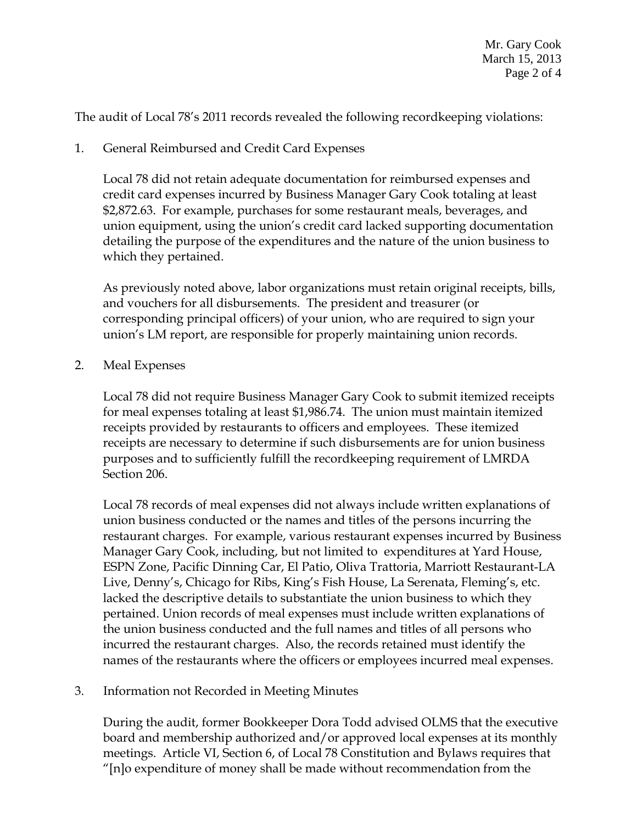The audit of Local 78's 2011 records revealed the following recordkeeping violations:

## 1. General Reimbursed and Credit Card Expenses

Local 78 did not retain adequate documentation for reimbursed expenses and credit card expenses incurred by Business Manager Gary Cook totaling at least \$2,872.63. For example, purchases for some restaurant meals, beverages, and union equipment, using the union's credit card lacked supporting documentation detailing the purpose of the expenditures and the nature of the union business to which they pertained.

As previously noted above, labor organizations must retain original receipts, bills, and vouchers for all disbursements. The president and treasurer (or corresponding principal officers) of your union, who are required to sign your union's LM report, are responsible for properly maintaining union records.

### 2. Meal Expenses

Local 78 did not require Business Manager Gary Cook to submit itemized receipts for meal expenses totaling at least \$1,986.74. The union must maintain itemized receipts provided by restaurants to officers and employees. These itemized receipts are necessary to determine if such disbursements are for union business purposes and to sufficiently fulfill the recordkeeping requirement of LMRDA Section 206.

Local 78 records of meal expenses did not always include written explanations of union business conducted or the names and titles of the persons incurring the restaurant charges. For example, various restaurant expenses incurred by Business Manager Gary Cook, including, but not limited to expenditures at Yard House, ESPN Zone, Pacific Dinning Car, El Patio, Oliva Trattoria, Marriott Restaurant-LA Live, Denny's, Chicago for Ribs, King's Fish House, La Serenata, Fleming's, etc. lacked the descriptive details to substantiate the union business to which they pertained. Union records of meal expenses must include written explanations of the union business conducted and the full names and titles of all persons who incurred the restaurant charges. Also, the records retained must identify the names of the restaurants where the officers or employees incurred meal expenses.

### 3. Information not Recorded in Meeting Minutes

During the audit, former Bookkeeper Dora Todd advised OLMS that the executive board and membership authorized and/or approved local expenses at its monthly meetings. Article VI, Section 6, of Local 78 Constitution and Bylaws requires that "[n]o expenditure of money shall be made without recommendation from the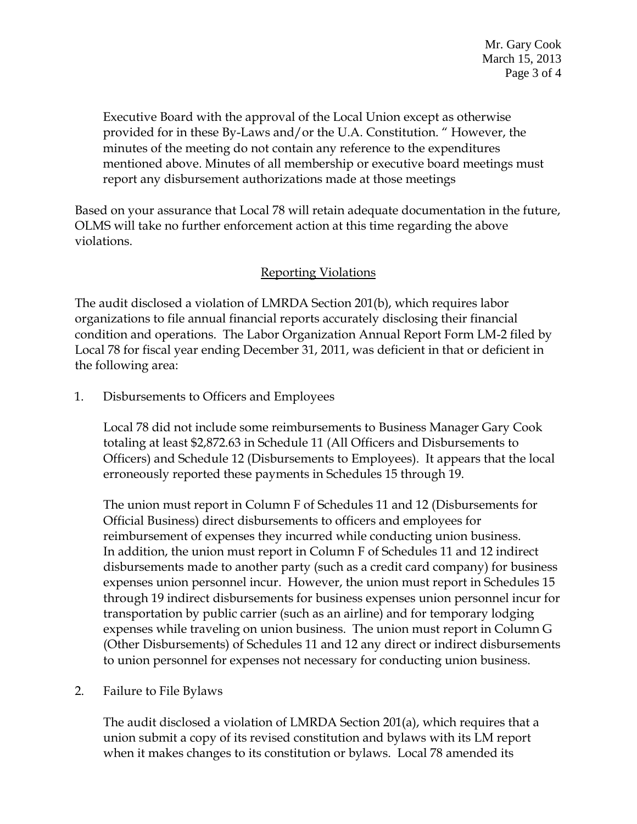Executive Board with the approval of the Local Union except as otherwise provided for in these By-Laws and/or the U.A. Constitution. " However, the minutes of the meeting do not contain any reference to the expenditures mentioned above. Minutes of all membership or executive board meetings must report any disbursement authorizations made at those meetings

Based on your assurance that Local 78 will retain adequate documentation in the future, OLMS will take no further enforcement action at this time regarding the above violations.

# Reporting Violations

The audit disclosed a violation of LMRDA Section 201(b), which requires labor organizations to file annual financial reports accurately disclosing their financial condition and operations. The Labor Organization Annual Report Form LM-2 filed by Local 78 for fiscal year ending December 31, 2011, was deficient in that or deficient in the following area:

1. Disbursements to Officers and Employees

Local 78 did not include some reimbursements to Business Manager Gary Cook totaling at least \$2,872.63 in Schedule 11 (All Officers and Disbursements to Officers) and Schedule 12 (Disbursements to Employees). It appears that the local erroneously reported these payments in Schedules 15 through 19.

The union must report in Column F of Schedules 11 and 12 (Disbursements for Official Business) direct disbursements to officers and employees for reimbursement of expenses they incurred while conducting union business. In addition, the union must report in Column F of Schedules 11 and 12 indirect disbursements made to another party (such as a credit card company) for business expenses union personnel incur. However, the union must report in Schedules 15 through 19 indirect disbursements for business expenses union personnel incur for transportation by public carrier (such as an airline) and for temporary lodging expenses while traveling on union business. The union must report in Column G (Other Disbursements) of Schedules 11 and 12 any direct or indirect disbursements to union personnel for expenses not necessary for conducting union business.

2. Failure to File Bylaws

The audit disclosed a violation of LMRDA Section 201(a), which requires that a union submit a copy of its revised constitution and bylaws with its LM report when it makes changes to its constitution or bylaws. Local 78 amended its